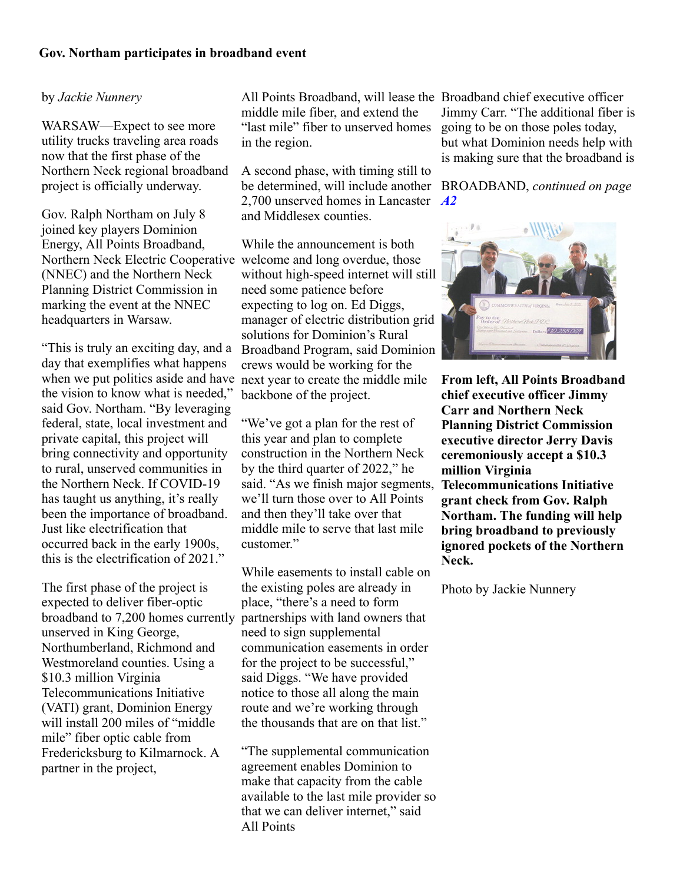## **Gov. Northam participates in broadband event**

## by *Jackie Nunnery*

WARSAW—Expect to see more utility trucks traveling area roads now that the first phase of the Northern Neck regional broadband project is officially underway.

Gov. Ralph Northam on July 8 joined key players Dominion Energy, All Points Broadband, Northern Neck Electric Cooperative welcome and long overdue, those (NNEC) and the Northern Neck Planning District Commission in marking the event at the NNEC headquarters in Warsaw.

day that exemplifies what happens when we put politics aside and have next year to create the middle mile the vision to know what is needed," said Gov. Northam. "By leveraging federal, state, local investment and private capital, this project will bring connectivity and opportunity to rural, unserved communities in the Northern Neck. If COVID-19 has taught us anything, it's really been the importance of broadband. Just like electrification that occurred back in the early 1900s, this is the electrification of 2021."

The first phase of the project is expected to deliver fiber-optic broadband to 7,200 homes currently partnerships with land owners that unserved in King George, Northumberland, Richmond and Westmoreland counties. Using a \$10.3 million Virginia Telecommunications Initiative (VATI) grant, Dominion Energy will install 200 miles of "middle mile" fiber optic cable from Fredericksburg to Kilmarnock. A partner in the project,

All Points Broadband, will lease the Broadband chief executive officer middle mile fiber, and extend the "last mile" fiber to unserved homes in the region.

A second phase, with timing still to be determined, will include another BROADBAND, *continued on page* 2,700 unserved homes in Lancaster and Middlesex counties.

"This is truly an exciting day, and a Broadband Program, said Dominion While the announcement is both without high-speed internet will still need some patience before expecting to log on. Ed Diggs, manager of electric distribution grid solutions for Dominion's Rural crews would be working for the backbone of the project.

> "We've got a plan for the rest of this year and plan to complete construction in the Northern Neck by the third quarter of 2022," he said. "As we finish major segments, we'll turn those over to All Points and then they'll take over that middle mile to serve that last mile customer."

While easements to install cable on the existing poles are already in place, "there's a need to form need to sign supplemental communication easements in order for the project to be successful," said Diggs. "We have provided notice to those all along the main route and we're working through the thousands that are on that list."

"The supplemental communication agreement enables Dominion to make that capacity from the cable available to the last mile provider so that we can deliver internet," said All Points

Jimmy Carr. "The additional fiber is going to be on those poles today, but what Dominion needs help with is making sure that the broadband is

*[A2](javascript:gotoPage("A","A2");)*



**From left, All Points Broadband chief executive officer Jimmy Carr and Northern Neck Planning District Commission executive director Jerry Davis ceremoniously accept a \$10.3 million Virginia Telecommunications Initiative grant check from Gov. Ralph Northam. The funding will help bring broadband to previously ignored pockets of the Northern Neck.**

Photo by Jackie Nunnery